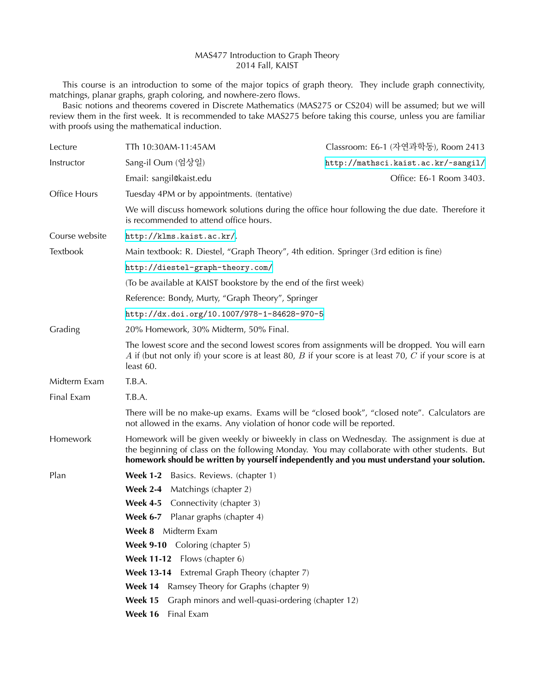## MAS477 Introduction to Graph Theory 2014 Fall, KAIST

This course is an introduction to some of the major topics of graph theory. They include graph connectivity, matchings, planar graphs, graph coloring, and nowhere-zero flows.

Basic notions and theorems covered in Discrete Mathematics (MAS275 or CS204) will be assumed; but we will review them in the first week. It is recommended to take MAS275 before taking this course, unless you are familiar with proofs using the mathematical induction.

| Lecture         | TTh 10:30AM-11:45AM                                                                                                                                                                                                                                                                      | Classroom: E6-1 (자연과학동), Room 2413                                                          |
|-----------------|------------------------------------------------------------------------------------------------------------------------------------------------------------------------------------------------------------------------------------------------------------------------------------------|---------------------------------------------------------------------------------------------|
| Instructor      | Sang-il Oum (엄상일)                                                                                                                                                                                                                                                                        | http://mathsci.kaist.ac.kr/~sangil/                                                         |
|                 | Email: sangil@kaist.edu                                                                                                                                                                                                                                                                  | Office: E6-1 Room 3403.                                                                     |
| Office Hours    | Tuesday 4PM or by appointments. (tentative)                                                                                                                                                                                                                                              |                                                                                             |
|                 | We will discuss homework solutions during the office hour following the due date. Therefore it<br>is recommended to attend office hours.                                                                                                                                                 |                                                                                             |
| Course website  | http://klms.kaist.ac.kr/.                                                                                                                                                                                                                                                                |                                                                                             |
| <b>Textbook</b> | Main textbook: R. Diestel, "Graph Theory", 4th edition. Springer (3rd edition is fine)                                                                                                                                                                                                   |                                                                                             |
|                 | http://diestel-graph-theory.com/                                                                                                                                                                                                                                                         |                                                                                             |
|                 | (To be available at KAIST bookstore by the end of the first week)                                                                                                                                                                                                                        |                                                                                             |
|                 | Reference: Bondy, Murty, "Graph Theory", Springer                                                                                                                                                                                                                                        |                                                                                             |
|                 | http://dx.doi.org/10.1007/978-1-84628-970-5                                                                                                                                                                                                                                              |                                                                                             |
| Grading         | 20% Homework, 30% Midterm, 50% Final.                                                                                                                                                                                                                                                    |                                                                                             |
|                 | The lowest score and the second lowest scores from assignments will be dropped. You will earn<br>A if (but not only if) your score is at least 80, B if your score is at least 70, C if your score is at<br>least 60.                                                                    |                                                                                             |
| Midterm Exam    | T.B.A.                                                                                                                                                                                                                                                                                   |                                                                                             |
| Final Exam      | T.B.A.                                                                                                                                                                                                                                                                                   |                                                                                             |
|                 | not allowed in the exams. Any violation of honor code will be reported.                                                                                                                                                                                                                  | There will be no make-up exams. Exams will be "closed book", "closed note". Calculators are |
| Homework        | Homework will be given weekly or biweekly in class on Wednesday. The assignment is due at<br>the beginning of class on the following Monday. You may collaborate with other students. But<br>homework should be written by yourself independently and you must understand your solution. |                                                                                             |
| Plan            | <b>Week 1-2</b> Basics. Reviews. (chapter 1)                                                                                                                                                                                                                                             |                                                                                             |
|                 | <b>Week 2-4</b><br>Matchings (chapter 2)                                                                                                                                                                                                                                                 |                                                                                             |
|                 | <b>Week 4-5</b><br>Connectivity (chapter 3)                                                                                                                                                                                                                                              |                                                                                             |
|                 | Week 6-7 Planar graphs (chapter 4)                                                                                                                                                                                                                                                       |                                                                                             |
|                 | <b>Week 8</b> Midterm Exam                                                                                                                                                                                                                                                               |                                                                                             |
|                 | Week 9-10 Coloring (chapter 5)                                                                                                                                                                                                                                                           |                                                                                             |
|                 | <b>Week 11-12</b><br>Flows (chapter 6)                                                                                                                                                                                                                                                   |                                                                                             |
|                 | Extremal Graph Theory (chapter 7)<br><b>Week 13-14</b>                                                                                                                                                                                                                                   |                                                                                             |
|                 | Week 14<br>Ramsey Theory for Graphs (chapter 9)                                                                                                                                                                                                                                          |                                                                                             |
|                 | Week 15<br>Graph minors and well-quasi-ordering (chapter 12)                                                                                                                                                                                                                             |                                                                                             |
|                 | Final Exam<br>Week 16                                                                                                                                                                                                                                                                    |                                                                                             |